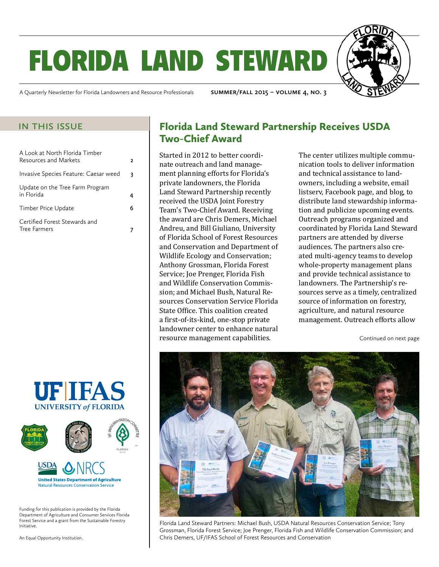# florida land steward

A Quarterly Newsletter for Florida Landowners and Resource Professionals **summer/fall 2015 – volume 4, no. 3**

| A Look at North Florida Timber<br><b>Resources and Markets</b> | 2 |
|----------------------------------------------------------------|---|
| Invasive Species Feature: Caesar weed                          | 3 |
| Update on the Tree Farm Program<br>in Florida                  |   |
| Timber Price Update                                            | 6 |
| Certified Forest Stewards and<br>Tree Farmers                  |   |





Funding for this publication is provided by the Florida Department of Agriculture and Consumer Services Florida Forest Service and a grant from the Sustainable Forestry Initiative.

An Equal Opportunity Institution.

#### IN THIS ISSUE **Florida Land Steward Partnership Receives USDA** Two-Chief Award

Started in 2012 to better coordinate outreach and land management planning efforts for Florida's private landowners, the Florida Land Steward Partnership recently received the USDA Joint Forestry Team's Two-Chief Award. Receiving the award are Chris Demers, Michael Andreu, and Bill Giuliano, University of Florida School of Forest Resources and Conservation and Department of Wildlife Ecology and Conservation; Anthony Grossman, Florida Forest Service; Joe Prenger, Florida Fish and Wildlife Conservation Commission; and Michael Bush, Natural Resources Conservation Service Florida State Office. This coalition created a first-of-its-kind, one-stop private landowner center to enhance natural resource management capabilities.

The center utilizes multiple communication tools to deliver information and technical assistance to landowners, including a website, email listserv, Facebook page, and blog, to distribute land stewardship information and publicize upcoming events. Outreach programs organized and coordinated by Florida Land Steward partners are attended by diverse audiences. The partners also created multi-agency teams to develop whole-property management plans and provide technical assistance to landowners. The Partnership's resources serve as a timely, centralized source of information on forestry, agriculture, and natural resource management. Outreach efforts allow

Continued on next page



Florida Land Steward Partners: Michael Bush, USDA Natural Resources Conservation Service; Tony Grossman, Florida Forest Service; Joe Prenger, Florida Fish and Wildlife Conservation Commission; and Chris Demers, UF/IFAS School of Forest Resources and Conservation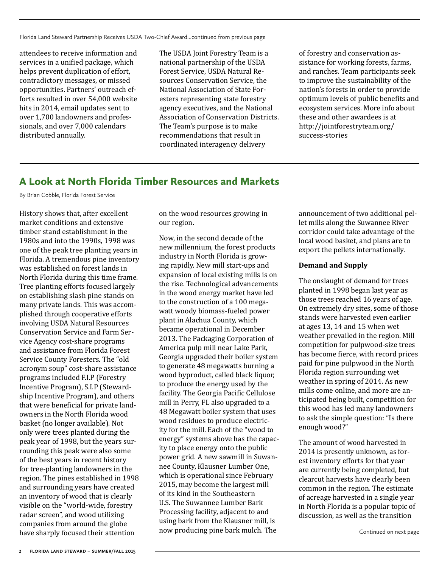Florida Land Steward Partnership Receives USDA Two-Chief Award...continued from previous page

attendees to receive information and services in a unified package, which helps prevent duplication of effort, contradictory messages, or missed opportunities. Partners' outreach efforts resulted in over 54,000 website hits in 2014, email updates sent to over 1,700 landowners and professionals, and over 7,000 calendars distributed annually.

The USDA Joint Forestry Team is a national partnership of the USDA Forest Service, USDA Natural Resources Conservation Service, the National Association of State Foresters representing state forestry agency executives, and the National Association of Conservation Districts. The Team's purpose is to make recommendations that result in coordinated interagency delivery

of forestry and conservation assistance for working forests, farms, and ranches. Team participants seek to improve the sustainability of the nation's forests in order to provide optimum levels of public benefits and ecosystem services. More info about these and other awardees is at http://jointforestryteam.org/ success-stories

#### A Look at North Florida Timber Resources and Markets

By Brian Cobble, Florida Forest Service

History shows that, after excellent market conditions and extensive timber stand establishment in the 1980s and into the 1990s, 1998 was one of the peak tree planting years in Florida. A tremendous pine inventory was established on forest lands in North Florida during this time frame. Tree planting efforts focused largely on establishing slash pine stands on many private lands. This was accomplished through cooperative efforts involving USDA Natural Resources Conservation Service and Farm Service Agency cost-share programs and assistance from Florida Forest Service County Foresters. The "old acronym soup" cost-share assistance programs included F.I.P (Forestry Incentive Program), S.I.P (Stewardship Incentive Program), and others that were beneficial for private landowners in the North Florida wood basket (no longer available). Not only were trees planted during the peak year of 1998, but the years surrounding this peak were also some of the best years in recent history for tree-planting landowners in the region. The pines established in 1998 and surrounding years have created an inventory of wood that is clearly visible on the "world-wide, forestry radar screen", and wood utilizing companies from around the globe have sharply focused their attention

on the wood resources growing in our region.

Now, in the second decade of the new millennium, the forest products industry in North Florida is growing rapidly. New mill start-ups and expansion of local existing mills is on the rise. Technological advancements in the wood energy market have led to the construction of a 100 megawatt woody biomass-fueled power plant in Alachua County, which became operational in December 2013. The Packaging Corporation of America pulp mill near Lake Park, Georgia upgraded their boiler system to generate 48 megawatts burning a wood byproduct, called black liquor, to produce the energy used by the facility. The Georgia Pacific Cellulose mill in Perry, FL also upgraded to a 48 Megawatt boiler system that uses wood residues to produce electricity for the mill. Each of the "wood to energy" systems above has the capacity to place energy onto the public power grid. A new sawmill in Suwannee County, Klausner Lumber One, which is operational since February 2015, may become the largest mill of its kind in the Southeastern U.S. The Suwannee Lumber Bark Processing facility, adjacent to and using bark from the Klausner mill, is now producing pine bark mulch. The

announcement of two additional pellet mills along the Suwannee River corridor could take advantage of the local wood basket, and plans are to export the pellets internationally.

#### **Demand and Supply**

The onslaught of demand for trees planted in 1998 began last year as those trees reached 16 years of age. On extremely dry sites, some of those stands were harvested even earlier at ages 13, 14 and 15 when wet weather prevailed in the region. Mill competition for pulpwood-size trees has become fierce, with record prices paid for pine pulpwood in the North Florida region surrounding wet weather in spring of 2014. As new mills come online, and more are anticipated being built, competition for this wood has led many landowners to ask the simple question: "Is there enough wood?"

The amount of wood harvested in 2014 is presently unknown, as forest inventory efforts for that year are currently being completed, but clearcut harvests have clearly been common in the region. The estimate of acreage harvested in a single year in North Florida is a popular topic of discussion, as well as the transition

Continued on next page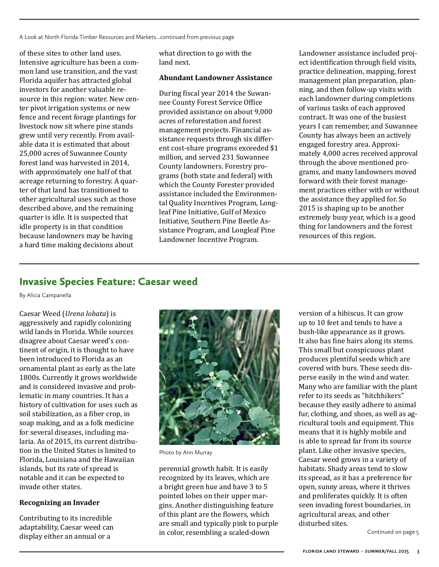A Look at North Florida Timber Resources and Markets...continued from previous page

of these sites to other land uses. Intensive agriculture has been a common land use transition, and the vast Florida aquifer has attracted global investors for another valuable resource in this region: water. New center pivot irrigation systems or new fence and recent forage plantings for livestock now sit where pine stands grew until very recently. From available data it is estimated that about 25,000 acres of Suwannee County forest land was harvested in 2014, with approximately one half of that acreage returning to forestry. A quarter of that land has transitioned to other agricultural uses such as those described above, and the remaining quarter is idle. It is suspected that idle property is in that condition because landowners may be having a hard time making decisions about

what direction to go with the land next.

#### **Abundant Landowner Assistance**

During fiscal year 2014 the Suwannee County Forest Service Office provided assistance on about 9,000 acres of reforestation and forest management projects. Financial assistance requests through six different cost-share programs exceeded \$1 million, and served 231 Suwannee County landowners. Forestry programs (both state and federal) with which the County Forester provided assistance included the Environmental Quality Incentives Program, Longleaf Pine Initiative, Gulf of Mexico Initiative, Southern Pine Beetle Assistance Program, and Longleaf Pine Landowner Incentive Program.

Landowner assistance included project identification through field visits, practice delineation, mapping, forest management plan preparation, planning, and then follow-up visits with each landowner during completions of various tasks of each approved contract. It was one of the busiest years I can remember, and Suwannee County has always been an actively engaged forestry area. Approximately 4,000 acres received approval through the above mentioned programs, and many landowners moved forward with their forest management practices either with or without the assistance they applied for. So 2015 is shaping up to be another extremely busy year, which is a good thing for landowners and the forest resources of this region.

#### Invasive Species Feature: Caesar weed

By Alicia Campanella

Caesar Weed (*Urena lobata*) is aggressively and rapidly colonizing wild lands in Florida. While sources disagree about Caesar weed's continent of origin, it is thought to have been introduced to Florida as an ornamental plant as early as the late 1800s. Currently it grows worldwide and is considered invasive and problematic in many countries. It has a history of cultivation for uses such as soil stabilization, as a fiber crop, in soap making, and as a folk medicine for several diseases, including malaria. As of 2015, its current distribution in the United States is limited to Florida, Louisiana and the Hawaiian islands, but its rate of spread is notable and it can be expected to invade other states.

#### **Recognizing an Invader**

Contributing to its incredible adaptability, Caesar weed can display either an annual or a



Photo by Ann Murray

perennial growth habit. It is easily recognized by its leaves, which are a bright green hue and have 3 to 5 pointed lobes on their upper margins. Another distinguishing feature of this plant are the flowers, which are small and typically pink to purple in color, resembling a scaled-down

version of a hibiscus. It can grow up to 10 feet and tends to have a bush-like appearance as it grows. It also has fine hairs along its stems. This small but conspicuous plant produces plentiful seeds which are covered with burs. These seeds disperse easily in the wind and water. Many who are familiar with the plant refer to its seeds as "hitchhikers" because they easily adhere to animal fur, clothing, and shoes, as well as agricultural tools and equipment. This means that it is highly mobile and is able to spread far from its source plant. Like other invasive species, Caesar weed grows in a variety of habitats. Shady areas tend to slow its spread, as it has a preference for open, sunny areas, where it thrives and proliferates quickly. It is often seen invading forest boundaries, in agricultural areas, and other disturbed sites.

Continued on page 5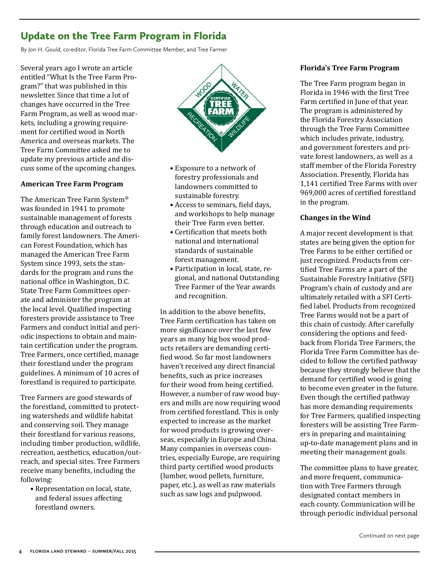### Update on the Tree Farm Program in Florida

By Jon H. Gould, co-editor, Florida Tree Farm Committee Member, and Tree Farmer

Several years ago I wrote an article entitled "What Is the Tree Farm Program?" that was published in this newsletter. Since that time a lot of changes have occurred in the Tree Farm Program, as well as wood markets, including a growing requirement for certified wood in North America and overseas markets. The Tree Farm Committee asked me to update my previous article and discuss some of the upcoming changes.

#### **American Tree Farm Program**

The American Tree Farm System® was founded in 1941 to promote sustainable management of forests through education and outreach to family forest landowners. The American Forest Foundation, which has managed the American Tree Farm System since 1993, sets the standards for the program and runs the national office in Washington, D.C. State Tree Farm Committees operate and administer the program at the local level. Qualified inspecting foresters provide assistance to Tree Farmers and conduct initial and periodic inspections to obtain and maintain certification under the program. Tree Farmers, once certified, manage their forestland under the program guidelines. A minimum of 10 acres of forestland is required to participate.

Tree Farmers are good stewards of the forestland, committed to protecting watersheds and wildlife habitat and conserving soil. They manage their forestland for various reasons, including timber production, wildlife, recreation, aesthetics, education/outreach, and special sites. Tree Farmers receive many benefits, including the following:

• Representation on local, state, and federal issues affecting forestland owners.



- Exposure to a network of forestry professionals and landowners committed to sustainable forestry.
- Access to seminars, field days, and workshops to help manage their Tree Farm even better.
- Certification that meets both national and international standards of sustainable forest management.
- Participation in local, state, regional, and national Outstanding Tree Farmer of the Year awards and recognition.

In addition to the above benefits, Tree Farm certification has taken on more significance over the last few years as many big box wood products retailers are demanding certified wood. So far most landowners haven't received any direct financial benefits, such as price increases for their wood from being certified. However, a number of raw wood buyers and mills are now requiring wood from certified forestland. This is only expected to increase as the market for wood products is growing overseas, especially in Europe and China. Many companies in overseas countries, especially Europe, are requiring third party certified wood products (lumber, wood pellets, furniture, paper, etc.), as well as raw materials such as saw logs and pulpwood.

#### **Florida's Tree Farm Program**

The Tree Farm program began in Florida in 1946 with the first Tree Farm certified in June of that year. The program is administered by the Florida Forestry Association through the Tree Farm Committee which includes private, industry, and government foresters and private forest landowners, as well as a staff member of the Florida Forestry Association. Presently, Florida has 1,141 certified Tree Farms with over 969,000 acres of certified forestland in the program.

#### **Changes in the Wind**

A major recent development is that states are being given the option for Tree Farms to be either certified or just recognized. Products from certified Tree Farms are a part of the Sustainable Forestry Initiative (SFI) Program's chain of custody and are ultimately retailed with a SFI Certified label. Products from recognized Tree Farms would not be a part of this chain of custody. After carefully considering the options and feedback from Florida Tree Farmers, the Florida Tree Farm Committee has decided to follow the certified pathway because they strongly believe that the demand for certified wood is going to become even greater in the future. Even though the certified pathway has more demanding requirements for Tree Farmers, qualified inspecting foresters will be assisting Tree Farmers in preparing and maintaining up-to-date management plans and in meeting their management goals.

The committee plans to have greater, and more frequent, communication with Tree Farmers through designated contact members in each county. Communication will be through periodic individual personal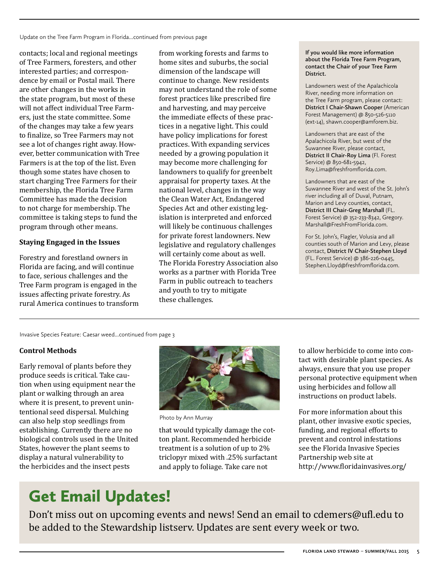Update on the Tree Farm Program in Florida...continued from previous page

contacts; local and regional meetings of Tree Farmers, foresters, and other interested parties; and correspondence by email or Postal mail. There are other changes in the works in the state program, but most of these will not affect individual Tree Farmers, just the state committee. Some of the changes may take a few years to finalize, so Tree Farmers may not see a lot of changes right away. However, better communication with Tree Farmers is at the top of the list. Even though some states have chosen to start charging Tree Farmers for their membership, the Florida Tree Farm Committee has made the decision to not charge for membership. The committee is taking steps to fund the program through other means.

#### **Staying Engaged in the Issues**

Forestry and forestland owners in Florida are facing, and will continue to face, serious challenges and the Tree Farm program is engaged in the issues affecting private forestry. As rural America continues to transform

from working forests and farms to home sites and suburbs, the social dimension of the landscape will continue to change. New residents may not understand the role of some forest practices like prescribed fire and harvesting, and may perceive the immediate effects of these practices in a negative light. This could have policy implications for forest practices. With expanding services needed by a growing population it may become more challenging for landowners to qualify for greenbelt appraisal for property taxes. At the national level, changes in the way the Clean Water Act, Endangered Species Act and other existing legislation is interpreted and enforced will likely be continuous challenges for private forest landowners. New legislative and regulatory challenges will certainly come about as well. The Florida Forestry Association also works as a partner with Florida Tree Farm in public outreach to teachers and youth to try to mitigate these challenges.

**If you would like more information about the Florida Tree Farm Program, contact the Chair of your Tree Farm District.**

Landowners west of the Apalachicola River, needing more information on the Tree Farm program, please contact: **District I Chair-Shawn Cooper** (American Forest Management) @ 850-526-5110 (ext-14), shawn.cooper@amforem.biz.

Landowners that are east of the Apalachicola River, but west of the Suwannee River, please contact, **District II Chair-Roy Lima** (Fl. Forest Service) @ 850-681-5942, Roy.Lima@freshfromflorida.com.

Landowners that are east of the Suwannee River and west of the St. John's river including all of Duval, Putnam, Marion and Levy counties, contact, **District III Chair-Greg Marshall** (FL. Forest Service) @ 352-233-8342, Gregory. Marshall@FreshFromFlorida.com.

For St. John's, Flagler, Volusia and all counties south of Marion and Levy, please contact, **District IV Chair-Stephen Lloyd** (FL. Forest Service) @ 386-226-0445, Stephen.Lloyd@freshfromflorida.com.

Invasive Species Feature: Caesar weed...continued from page 3

#### **Control Methods**

Early removal of plants before they produce seeds is critical. Take caution when using equipment near the plant or walking through an area where it is present, to prevent unintentional seed dispersal. Mulching can also help stop seedlings from establishing. Currently there are no biological controls used in the United States, however the plant seems to display a natural vulnerability to the herbicides and the insect pests



Photo by Ann Murray

that would typically damage the cotton plant. Recommended herbicide treatment is a solution of up to 2% triclopyr mixed with .25% surfactant and apply to foliage. Take care not

to allow herbicide to come into contact with desirable plant species. As always, ensure that you use proper personal protective equipment when using herbicides and follow all instructions on product labels.

For more information about this plant, other invasive exotic species, funding, and regional efforts to prevent and control infestations see the Florida Invasive Species Partnership web site at http://www.floridainvasives.org/

### Get Email Updates!

Don't miss out on upcoming events and news! Send an email to cdemers@ufl.edu to be added to the Stewardship listserv. Updates are sent every week or two.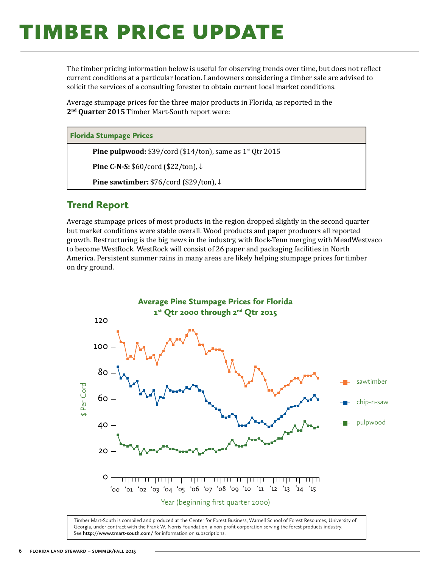## **TIMBER PRICE UPDATE**

The timber pricing information below is useful for observing trends over time, but does not reflect current conditions at a particular location. Landowners considering a timber sale are advised to solicit the services of a consulting forester to obtain current local market conditions.

Average stumpage prices for the three major products in Florida, as reported in the **2nd Quarter 2015** Timber Mart-South report were:

#### Florida Stumpage Prices

**Pine pulpwood:** \$39/cord (\$14/ton), same as 1<sup>st</sup> Qtr 2015

**Pine C-N-S:** \$60/cord (\$22/ton), ↓

**Pine sawtimber:** \$76/cord (\$29/ton), ↓

#### Trend Report

Average stumpage prices of most products in the region dropped slightly in the second quarter but market conditions were stable overall. Wood products and paper producers all reported growth. Restructuring is the big news in the industry, with Rock-Tenn merging with MeadWestvaco to become WestRock. WestRock will consist of 26 paper and packaging facilities in North America. Persistent summer rains in many areas are likely helping stumpage prices for timber on dry ground.



Timber Mart-South is compiled and produced at the Center for Forest Business, Warnell School of Forest Resources, University of Georgia, under contract with the Frank W. Norris Foundation, a non-profit corporation serving the forest products industry. See **http://www.tmart-south.com/** for information on subscriptions.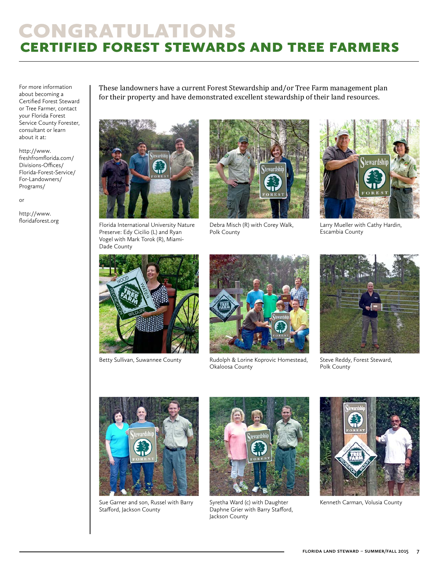### congratulations certified forest stewards and tree farmers

For more information about becoming a Certified Forest Steward or Tree Farmer, contact your Florida Forest Service County Forester, consultant or learn about it at:

http://www. freshfromflorida.com/ Divisions-Offices/ Florida-Forest-Service/ For-Landowners/ Programs/

or

http://www.

These landowners have a current Forest Stewardship and/or Tree Farm management plan for their property and have demonstrated excellent stewardship of their land resources.



floridaforest.org Florida International University Nature Preserve: Edy Cicilio (L) and Ryan Vogel with Mark Torok (R), Miami-Dade County



Debra Misch (R) with Corey Walk, Polk County



Larry Mueller with Cathy Hardin, Escambia County





Betty Sullivan, Suwannee County **Steph Budolph & Lorine Koprovic Homestead,** Steve Reddy, Forest Steward, Okaloosa County



Polk County



Sue Garner and son, Russel with Barry Stafford, Jackson County



Syretha Ward (c) with Daughter Kenneth Carman, Volusia County Daphne Grier with Barry Stafford, Jackson County